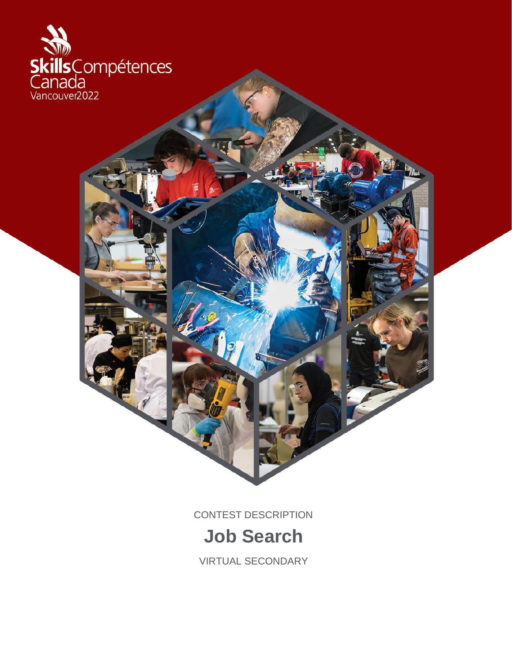

CONTEST DESCRIPTION

# **Job Search**

VIRTUAL SECONDARY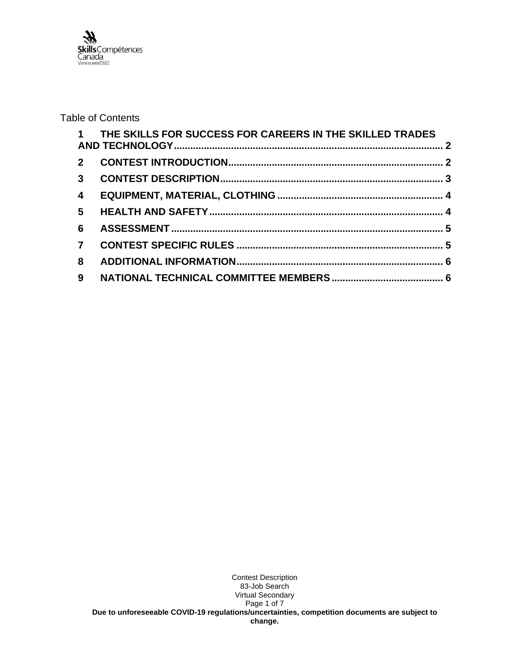

## Table of Contents

|                 | 1 THE SKILLS FOR SUCCESS FOR CAREERS IN THE SKILLED TRADES |  |
|-----------------|------------------------------------------------------------|--|
|                 |                                                            |  |
|                 |                                                            |  |
| $\overline{4}$  |                                                            |  |
| $5\overline{)}$ |                                                            |  |
| 6               |                                                            |  |
| $\overline{7}$  |                                                            |  |
| 8               |                                                            |  |
| 9               |                                                            |  |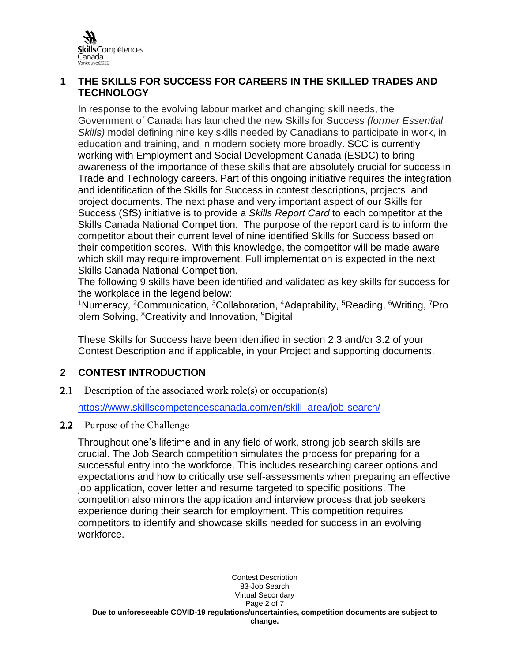

## <span id="page-2-0"></span>**1 THE SKILLS FOR SUCCESS FOR CAREERS IN THE SKILLED TRADES AND TECHNOLOGY**

In response to the evolving labour market and changing skill needs, the Government of Canada has launched the new Skills for Success *(former Essential Skills)* model defining nine key skills needed by Canadians to participate in work, in education and training, and in modern society more broadly. SCC is currently working with Employment and Social Development Canada (ESDC) to bring awareness of the importance of these skills that are absolutely crucial for success in Trade and Technology careers. Part of this ongoing initiative requires the integration and identification of the Skills for Success in contest descriptions, projects, and project documents. The next phase and very important aspect of our Skills for Success (SfS) initiative is to provide a *Skills Report Card* to each competitor at the Skills Canada National Competition. The purpose of the report card is to inform the competitor about their current level of nine identified Skills for Success based on their competition scores. With this knowledge, the competitor will be made aware which skill may require improvement. Full implementation is expected in the next Skills Canada National Competition.

The following 9 skills have been identified and validated as key skills for success for the workplace in the legend below:

<sup>1</sup>Numeracy, <sup>2</sup>Communication, <sup>3</sup>Collaboration, <sup>4</sup>Adaptability, <sup>5</sup>Reading, <sup>6</sup>Writing, <sup>7</sup>Pro blem Solving, <sup>8</sup>Creativity and Innovation, <sup>9</sup>Digital

These Skills for Success have been identified in section 2.3 and/or 3.2 of your Contest Description and if applicable, in your Project and supporting documents.

# <span id="page-2-1"></span>**2 CONTEST INTRODUCTION**

2.1 Description of the associated work role(s) or occupation(s)

[https://www.skillscompetencescanada.com/en/skill\\_area/job-search/](https://www.skillscompetencescanada.com/en/skill_area/job-search/)

2.2 Purpose of the Challenge

Throughout one's lifetime and in any field of work, strong job search skills are crucial. The Job Search competition simulates the process for preparing for a successful entry into the workforce. This includes researching career options and expectations and how to critically use self-assessments when preparing an effective job application, cover letter and resume targeted to specific positions. The competition also mirrors the application and interview process that job seekers experience during their search for employment. This competition requires competitors to identify and showcase skills needed for success in an evolving workforce.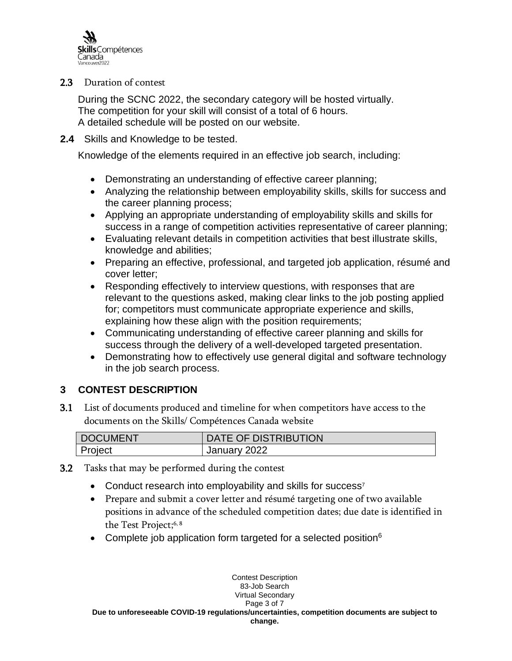

2.3 Duration of contest

During the SCNC 2022, the secondary category will be hosted virtually. The competition for your skill will consist of a total of 6 hours. A detailed schedule will be posted on our website.

#### **2.4** Skills and Knowledge to be tested.

Knowledge of the elements required in an effective job search, including:

- Demonstrating an understanding of effective career planning;
- Analyzing the relationship between employability skills, skills for success and the career planning process;
- Applying an appropriate understanding of employability skills and skills for success in a range of competition activities representative of career planning;
- Evaluating relevant details in competition activities that best illustrate skills, knowledge and abilities;
- Preparing an effective, professional, and targeted job application, résumé and cover letter;
- Responding effectively to interview questions, with responses that are relevant to the questions asked, making clear links to the job posting applied for; competitors must communicate appropriate experience and skills, explaining how these align with the position requirements;
- Communicating understanding of effective career planning and skills for success through the delivery of a well-developed targeted presentation.
- Demonstrating how to effectively use general digital and software technology in the job search process.

# <span id="page-3-0"></span>**3 CONTEST DESCRIPTION**

3.1 List of documents produced and timeline for when competitors have access to the documents on the Skills/ Compétences Canada website

| DOCUMENT | DATE OF DISTRIBUTION |
|----------|----------------------|
| Project  | January 2022         |

- 3.2 Tasks that may be performed during the contest
	- Conduct research into employability and skills for success<sup>7</sup>
	- Prepare and submit a cover letter and résumé targeting one of two available positions in advance of the scheduled competition dates; due date is identified in the Test Project; 6, 8
	- Complete job application form targeted for a selected position  $6$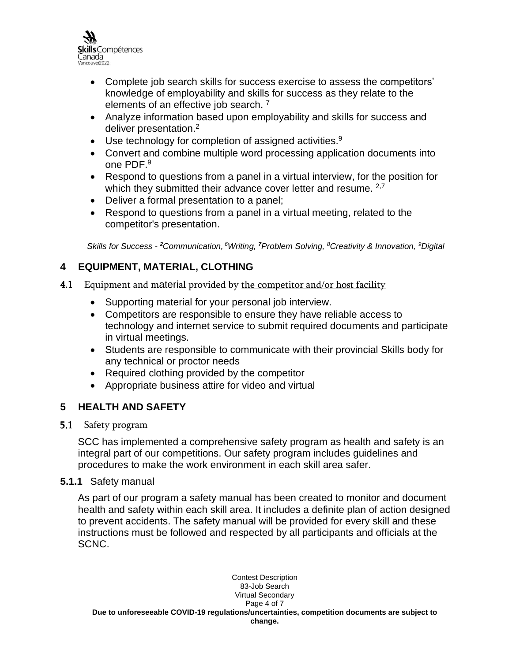

- Complete job search skills for success exercise to assess the competitors' knowledge of employability and skills for success as they relate to the elements of an effective job search.<sup>7</sup>
- Analyze information based upon employability and skills for success and deliver presentation.<sup>2</sup>
- Use technology for completion of assigned activities.<sup>9</sup>
- Convert and combine multiple word processing application documents into one PDF. 9
- Respond to questions from a panel in a virtual interview, for the position for which they submitted their advance cover letter and resume. <sup>2,7</sup>
- Deliver a formal presentation to a panel;
- Respond to questions from a panel in a virtual meeting, related to the competitor's presentation.

*Skills for Success - <sup>2</sup>Communication, <sup>6</sup>Writing, <sup>7</sup>Problem Solving, <sup>8</sup>Creativity & Innovation, <sup>9</sup>Digital*

# <span id="page-4-0"></span>**4 EQUIPMENT, MATERIAL, CLOTHING**

- 4.1 Equipment and material provided by the competitor and/or host facility
	- Supporting material for your personal job interview.
	- Competitors are responsible to ensure they have reliable access to technology and internet service to submit required documents and participate in virtual meetings.
	- Students are responsible to communicate with their provincial Skills body for any technical or proctor needs
	- Required clothing provided by the competitor
	- Appropriate business attire for video and virtual

# <span id="page-4-1"></span>**5 HEALTH AND SAFETY**

## 5.1 Safety program

SCC has implemented a comprehensive safety program as health and safety is an integral part of our competitions. Our safety program includes guidelines and procedures to make the work environment in each skill area safer.

#### **5.1.1** Safety manual

As part of our program a safety manual has been created to monitor and document health and safety within each skill area. It includes a definite plan of action designed to prevent accidents. The safety manual will be provided for every skill and these instructions must be followed and respected by all participants and officials at the SCNC.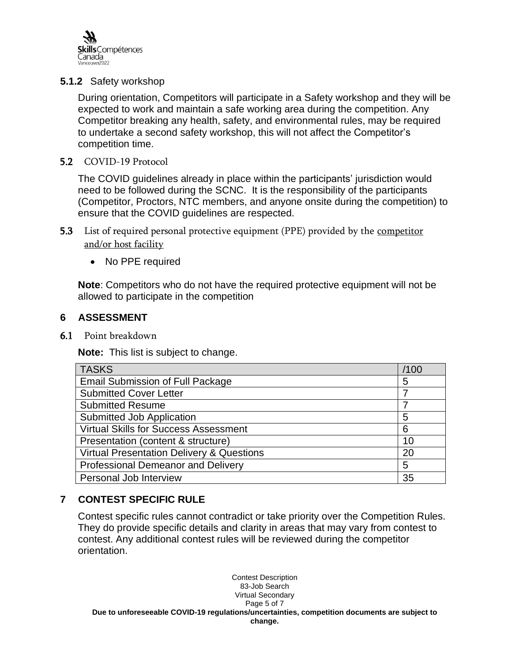

## **5.1.2** Safety workshop

During orientation, Competitors will participate in a Safety workshop and they will be expected to work and maintain a safe working area during the competition. Any Competitor breaking any health, safety, and environmental rules, may be required to undertake a second safety workshop, this will not affect the Competitor's competition time.

#### 5.2 COVID-19 Protocol

The COVID guidelines already in place within the participants' jurisdiction would need to be followed during the SCNC. It is the responsibility of the participants (Competitor, Proctors, NTC members, and anyone onsite during the competition) to ensure that the COVID guidelines are respected.

- 5.3 List of required personal protective equipment (PPE) provided by the competitor and/or host facility
	- No PPE required

**Note**: Competitors who do not have the required protective equipment will not be allowed to participate in the competition

#### <span id="page-5-0"></span>**6 ASSESSMENT**

6.1 Point breakdown

**Note:** This list is subject to change.

| <b>TASKS</b>                                         | /100 |
|------------------------------------------------------|------|
| <b>Email Submission of Full Package</b>              |      |
| <b>Submitted Cover Letter</b>                        |      |
| <b>Submitted Resume</b>                              | 7    |
| Submitted Job Application                            | 5    |
| <b>Virtual Skills for Success Assessment</b>         | 6    |
| Presentation (content & structure)                   | 10   |
| <b>Virtual Presentation Delivery &amp; Questions</b> | 20   |
| Professional Demeanor and Delivery                   |      |
| Personal Job Interview                               | 35   |

# <span id="page-5-1"></span>**7 CONTEST SPECIFIC RULE**

Contest specific rules cannot contradict or take priority over the Competition Rules. They do provide specific details and clarity in areas that may vary from contest to contest. Any additional contest rules will be reviewed during the competitor orientation.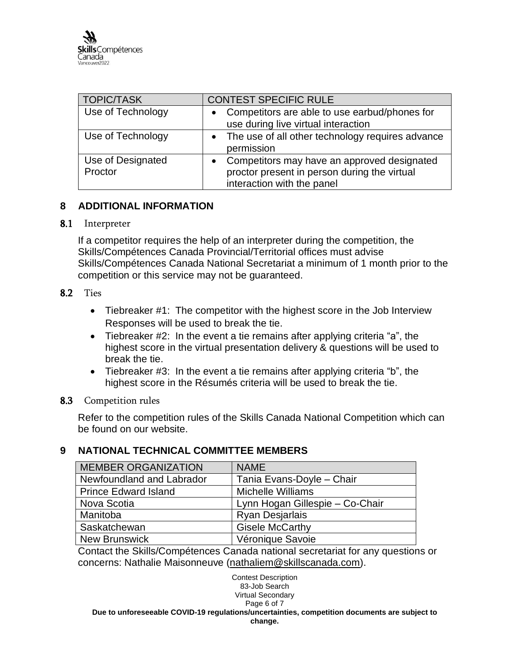| <b>TOPIC/TASK</b>            | <b>CONTEST SPECIFIC RULE</b>                                                                                              |
|------------------------------|---------------------------------------------------------------------------------------------------------------------------|
| Use of Technology            | Competitors are able to use earbud/phones for<br>use during live virtual interaction                                      |
| Use of Technology            | • The use of all other technology requires advance<br>permission                                                          |
| Use of Designated<br>Proctor | Competitors may have an approved designated<br>proctor present in person during the virtual<br>interaction with the panel |

## <span id="page-6-0"></span>**8 ADDITIONAL INFORMATION**

#### 8.1 Interpreter

If a competitor requires the help of an interpreter during the competition, the Skills/Compétences Canada Provincial/Territorial offices must advise Skills/Compétences Canada National Secretariat a minimum of 1 month prior to the competition or this service may not be guaranteed.

#### 8.2 Ties

- Tiebreaker #1: The competitor with the highest score in the Job Interview Responses will be used to break the tie.
- Tiebreaker #2: In the event a tie remains after applying criteria "a", the highest score in the virtual presentation delivery & questions will be used to break the tie.
- Tiebreaker #3: In the event a tie remains after applying criteria "b", the highest score in the Résumés criteria will be used to break the tie.

## 8.3 Competition rules

Refer to the competition rules of the Skills Canada National Competition which can be found on our website.

# <span id="page-6-1"></span>**9 NATIONAL TECHNICAL COMMITTEE MEMBERS**

| <b>MEMBER ORGANIZATION</b>  | <b>NAME</b>                     |
|-----------------------------|---------------------------------|
| Newfoundland and Labrador   | Tania Evans-Doyle - Chair       |
| <b>Prince Edward Island</b> | <b>Michelle Williams</b>        |
| Nova Scotia                 | Lynn Hogan Gillespie - Co-Chair |
| Manitoba                    | <b>Ryan Desjarlais</b>          |
| Saskatchewan                | <b>Gisele McCarthy</b>          |
| <b>New Brunswick</b>        | Véronique Savoie                |

Contact the Skills/Compétences Canada national secretariat for any questions or concerns: Nathalie Maisonneuve [\(nathaliem@skillscanada.com\)](mailto:nathaliem@skillscanada.com).

Contest Description 83-Job Search Virtual Secondary Page 6 of 7 **Due to unforeseeable COVID-19 regulations/uncertainties, competition documents are subject to change.**